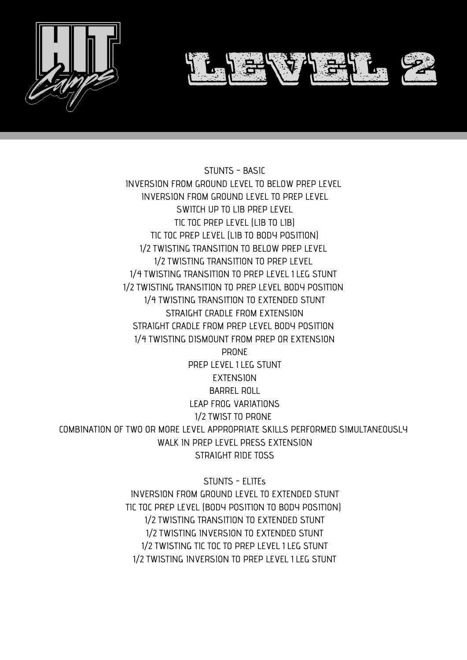

STUNTS - BASIC INVERSION FROM GROUND LEVEL TO BELOW PREP LEVEL INVERSION FROM GROUND LEVEL TO PREP LEVEL SWITCH UP TO LIB PREP LEVEL TIC TOC PREP LEVEL (LIB TO LIB) TIC TOC PREP LEVEL (LIB TO BODY POSITION) 1⁄2 TWISTING TRANSITION TO BELOW PREP LEVEL 1⁄2 TWISTING TRANSITION TO PREP LEVEL 1⁄4 TWISTING TRANSITION TO PREP LEVEL 1 LEG STUNT 1⁄2 TWISTING TRANSITION TO PREP LEVEL BODY POSITION 1⁄4 TWISTING TRANSITION TO EXTENDED STUNT STRAIGHT CRADLE FROM EXTENSION STRAIGHT CRADLE FROM PREP LEVEL BODY POSITION 1⁄4 TWISTING DISMOUNT FROM PREP OR EXTENSION

PRONE

PREP LEVEL 1 LEG STUNT **EXTENSION** BARREL ROLL LEAP FROG VARIATIONS 1⁄2 TWIST TO PRONE COMBINATION OF TWO OR MORE LEVEL APPROPRIATE SKILLS PERFORMED SIMULTANEOUSLY WALK IN PREP LEVEL PRESS EXTENSION STRAIGHT RIDE TOSS

> STUNTS - ELITEs INVERSION FROM GROUND LEVEL TO EXTENDED STUNT TIC TOC PREP LEVEL (BODY POSITION TO BODY POSITION) 1⁄2 TWISTING TRANSITION TO EXTENDED STUNT 1⁄2 TWISTING INVERSION TO EXTENDED STUNT 1⁄2 TWISTING TIC TOC TO PREP LEVEL 1 LEG STUNT 1⁄2 TWISTING INVERSION TO PREP LEVEL 1 LEG STUNT